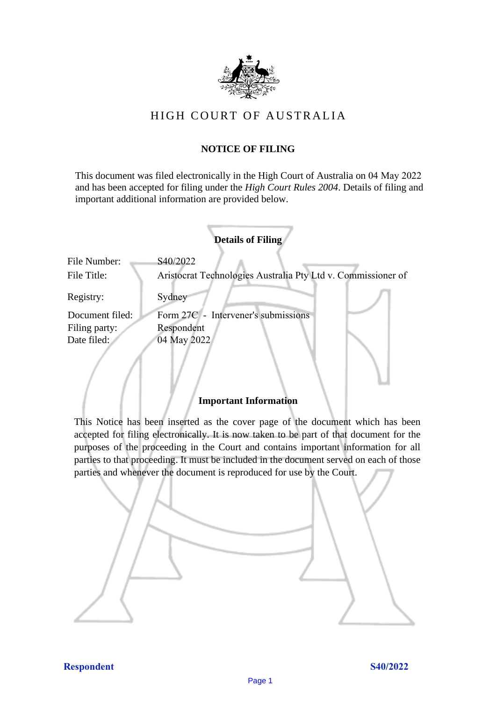

# HIGH COURT OF AU STRALIA HIGH COURT OF AUSTRALIA

# **NOTICE OF FILING** NOTICE OF FILING

This document was filed electronically in the High Court of Australia on 04 May 2022 and has been accepted for filing under the *High Court Rules 2004*. Details of filing and important additional information are provided below. important additional information are provided below.

| <b>Details of Filing</b>    |                                                                          |
|-----------------------------|--------------------------------------------------------------------------|
| File Number:<br>File Title: | S40/2022<br>Aristocrat Technologies Australia Pty Ltd v. Commissioner of |
| Registry:                   | Sydney                                                                   |
| Document filed:             | Form 27C - Intervener's submissions                                      |
| Filing party:               | Respondent                                                               |
| Date filed:                 | 04 May 2022                                                              |
|                             |                                                                          |

#### **Important Information** Important Information

This Notice has been inserted as the cover page of the document which has been accepted for filing electronically. It is now taken to be part of that document for the purposes of the proceeding in the Court and contains important information for all parties to that proceeding. It must be included in the document served on each of those parties and whenever the document is reproduced for use by the Court. parties and whenever the document is reproduced for use by the Court

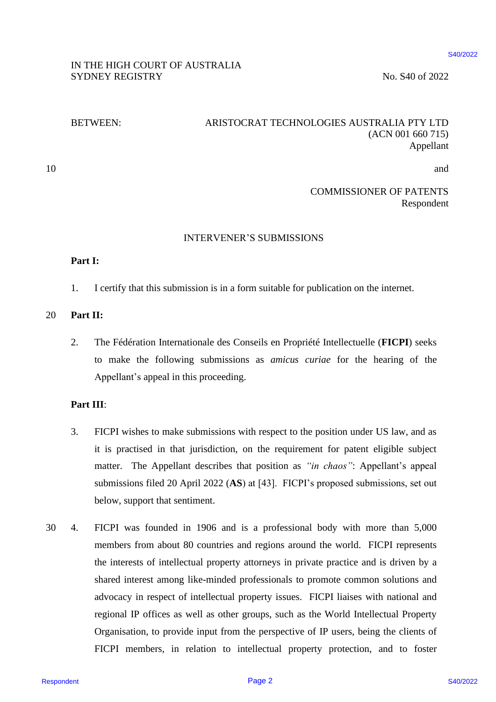#### \$40/2022

#### IN THE HIGH COURT OF AUSTRALIA IN THE HIGH COURT OF AUSTRALIA SYDNEY REGISTRY No. S40 of 2022

#### BETWEEN: ARISTOCRAT TECHNOLOGIES AUSTRALIA PTY LTD BETWEEN: ARISTOCRAT TECHNOLOGIES AUSTRALIA PTY LTD (ACN 001 660 715) (ACN 001 660 715) Appellant Appellant

10 and 10and the contract of the contract of the contract of the contract of the contract of the contract of the contract of the contract of the contract of the contract of the contract of the contract of the contract of the cont

> COMMISSIONER OF PATENTS COMMISSIONER OF PATENTS Respondent Respondent

#### INTERVENER'S SUBMISSIONS INTERVENER'S SUBMISSIONS

#### **Part I:** Part I:

1. I certify that this submission is in a form suitable for publication on the internet. 1. I certify that this submission is in <sup>a</sup> form suitable for publication on the internet.

# 20 **Part II:**

2. The Fédération Internationale des Conseils en Propriété Intellectuelle (**FICPI**) seeks 2. The Fédération Internationale des Conseils en Propriété Intellectuelle (FICPI) seeks to make the following submissions as *amicus curiae* for the hearing of the Appellant's appeal in this proceeding. Appellant's appeal in this proceeding.

### **Part III**: Part HI:

- 3. FICPI wishes to make submissions with respect to the position under US law, and as FICPI wishes to make submissions with respect to the position under US law, and as it is practised in that jurisdiction, on the requirement for patent eligible subject it is practised in that jurisdiction, on the requirement for patent eligible subject matter. The Appellant describes that position as *"in chaos"*: Appellant's appeal matter. The Appellant describes that position as "in chaos": Appellant's appeal submissions filed 20 April 2022 (AS) at [43]. FICPI's proposed submissions, set out below, support that sentiment. below, support that sentiment. 3.
- 30 4. FICPI was founded in 1906 and is a professional body with more than 5,000 FICPI was founded in 1906 andis <sup>a</sup> professional body with more than 5,000 members from about 80 countries and regions around the world. FICPI represents members from about 80 countries and regions around the world. FICPI represents the interests of intellectual property attorneys in private practice and is driven by a the interests of intellectual property attorneys in private practice and is driven by <sup>a</sup> shared interest among like-minded professionals to promote common solutions and shared interest among like-minded professionals to promote common solutions and advocacy in respect of intellectual property issues. FICPI liaises with national and advocacy in respect of intellectual property issues. FICPI liaises with national and regional IP offices as well as other groups, such as the World Intellectual Property regional IP offices as well as other groups, such as the World Intellectual Property Organisation, to provide input from the perspective of IP users, being the clients of FICPI members, in relation to intellectual property protection, and to foster FICPI members, in relation to intellectual property protection, and to foster RESPONDED OF AUSTRALLA<br>
SECOND AND SECOND SAUSTRALLA<br>
SYDNEY REGISTRY<br>
SETWEEN. ARESTOCRAT TECHNOLOGIES AUSTRALLA PTY. LTD<br>
SETWEEN. ARESTOCRAT TECHNOLOGIES AUSTRALLA PTY. LTD<br>
10<br>
COMMISSIONER OF PATENTS<br>
10<br>
10<br>
10<br>
11: 30. 4.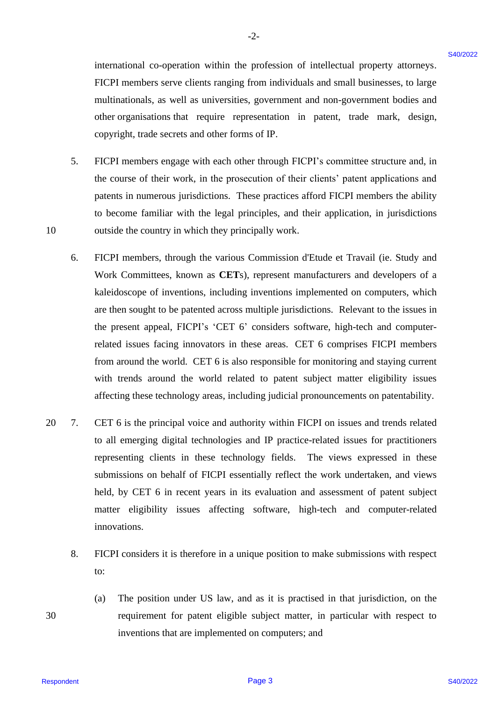international co-operation within the profession of intellectual property attorneys. international co-operation within the profession of intellectual property attorneys. FICPI members serve clients ranging from individuals and small businesses, to large FICPI members serve clients ranging from individuals and small businesses, to large multinationals, as well as universities, government and non-government bodies and multinationals, as well as universities, government and non-government bodies and other organisations that require representation in patent, trade mark, design, copyright, trade secrets and other forms of IP. copyright, trade secrets and other forms of IP.

- 5. FICPI members engage with each other through FICPI's committee structure and, in FICPI members engage with eachother through FICPI's committee structure and, in the course of their work, in the prosecution of their clients' patent applications and the course of their work, in the prosecution of their clients' patent applications and patents in numerous jurisdictions. These practices afford FICPI members the ability patents in numerous jurisdictions. These practices afford FICPI members the ability to become familiar with the legal principles, and their application, in jurisdictions to become familiar with the legal principles, and their application, in jurisdictions 10 outside the country in which they principally work. outside the countryin which they principally work. 5.
- 6. FICPI members, through the various Commission d'Etude et Travail (ie. Study and FICPI members, through the various Commission d'Etude et Travail (ie. Study and Work Committees, known as **CET**s), represent manufacturers and developers of a Work Committees, known as CETs), represent manufacturers and developers of a kaleidoscope of inventions, including inventions implemented on computers, which kaleidoscope of inventions, including inventions implemented on computers, which are then sought to be patented across multiple jurisdictions. Relevant to the issues in are then sought to be patented across multiple jurisdictions. Relevant to the issues in the present appeal, FICPI's 'CET 6' considers software, high-tech and computer-the present appeal, FICPI's 'CET 6' considers software, high-tech and computerrelated issues facing innovators in these areas. CET 6 comprises FICPI members related issues facing innovators in these areas. CET 6 comprises FICPI members from around the world. CET 6 is also responsible for monitoring and staying current with trends around the world related to patent subject matter eligibility issues with trends around the world related to patent subject matter eligibility issues affecting these technology areas, including judicial pronouncements on patentability. affecting these technology areas, including judicial pronouncements on patentability. international co-operation within the profession of intellectual peoptry atomeys.<br>
11CP imendent-serve clients ranging from intel visuals and smith basis and intellectually and smith basis and<br>
intellectually as well as u 6.
- 20 7. CET 6 is the principal voice and authority within FICPI on issues and trends related to all emerging digital technologies and IP practice-related issues for practitioners to all emerging digital technologies and IP practice-related issues for practitioners representing clients in these technology fields. The views expressed in these submissions on behalf of FICPI essentially reflect the work undertaken, and views submissions on behalf of FICPI essentially reflect the work undertaken, and views held, by CET 6 in recent years in its evaluation and assessment of patent subject matter eligibility issues affecting software, high-tech and computer-related matter eligibility issues affecting software, high-tech and computer-related innovations. innovations. 20 7.
	- 8. FICPI considers it is therefore in a unique position to make submissions with respect FICPI considers it is therefore in <sup>a</sup> unique position to make submissions with respect to: to: 8.
- (a) The position under US law, and as it is practised in that jurisdiction, on the (a) The position under US law, and as it is practised in that jurisdiction, on the 30 requirement for patent eligible subject matter, in particular with respect to requirement for patent eligible subject matter, in particular with respect to inventions that are implemented on computers; and inventions that are implemented on computers; and

10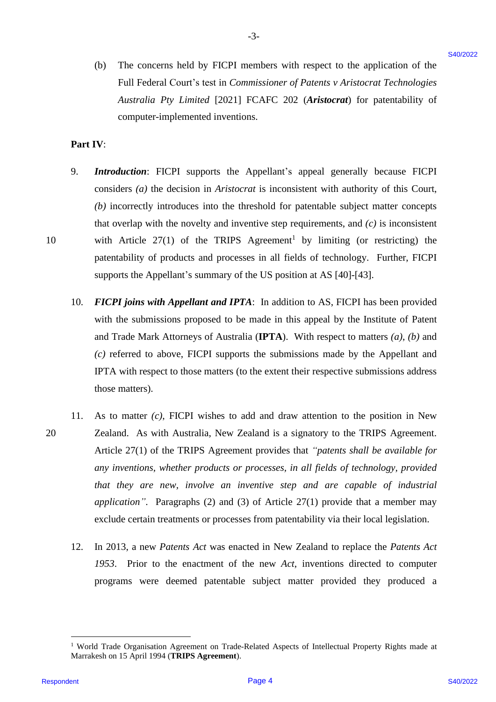(b) The concerns held by FICPI members with respect to the application of the (b) The concerns held by FICPI members with respect to the application of the Full Federal Court's test in *Commissioner of Patents v Aristocrat Technologies Australia Pty Limited* [2021] FCAFC 202 (*Aristocrat*) for patentability of Australia Pty Limited [2021] FCAFC 202 (Aristocrat) for patentability of computer-implemented inventions. computer-implemented inventions.

-3- -3-

#### **Part IV**: Part IV:

- 9. *Introduction*: FICPI supports the Appellant's appeal generally because FICPI 9. Introduction: FICPI supports the Appellant's appeal generally because FICPI considers (a) the decision in *Aristocrat* is inconsistent with authority of this Court, *(b)* incorrectly introduces into the threshold for patentable subject matter concepts (b) incorrectly introduces into the threshold for patentable subject matter concepts that overlap with the novelty and inventive step requirements, and  $(c)$  is inconsistent 10 with Article  $27(1)$  of the TRIPS Agreement<sup>1</sup> by limiting (or restricting) the patentability of products and processes in all fields of technology. Further, FICPI supports the Appellant's summary of the US position at AS [40]-[43]. supports the Appellant's summary of the US position at AS [40]-[43].
	- 10. FICPI joins with Appellant and IPTA: In addition to AS, FICPI has been provided with the submissions proposed to be made in this appeal by the Institute of Patent and Trade Mark Attorneys of Australia (IPTA). With respect to matters (a), (b) and *(c)* referred to above, FICPI supports the submissions made by the Appellant and (c) referred to above, FICPI supports the submissions made by the Appellant and IPTA with respect to those matters (to the extent their respective submissions address IPTA with respect to those matters (to the extent their respective submissions address those matters). those matters).
- 11. As to matter *(c)*, FICPI wishes to add and draw attention to the position in New 11. As to matter (c), FICPI wishes to add and draw attention to the position in New 20 Zealand. As with Australia, New Zealand is a signatory to the TRIPS Agreement. 20 Zealand. As with Australia, New Zealand is <sup>a</sup> signatory to the TRIPS Agreement. Article 27(1) of the TRIPS Agreement provides that "patents shall be available for *any inventions, whether products or processes, in all fields of technology, provided*  any inventions, whether products or processes, in all fields of technology, provided *that they are new, involve an inventive step and are capable of industrial*  that they are new, involve an inventive step and are capable of industrial application". Paragraphs (2) and (3) of Article 27(1) provide that a member may exclude certain treatments or processes from patentability via their local legislation. exclude certain treatments or processes from patentability via their local legislation. (b) The concerns hadd by FICPI ancientes with respect to the application of the full freehead Contributed CO21 REAT Control Treates in Consequence in the control of the Anti-Treate in Consequence in the consequence of the
	- 12. In 2013, a new *Patents Act* was enacted in New Zealand to replace the *Patents Act*  12. In 2013, <sup>a</sup> new Patents Act was enacted in New Zealand to replace the Patents Act *1953*. Prior to the enactment of the new *Act*, inventions directed to computer 1953. Prior to the enactment of the new Act, inventions directed to computer programs were deemed patentable subject matter provided they produced a programs were deemed patentable subject matter provided they produced <sup>a</sup>

<sup>&</sup>lt;sup>1</sup> World Trade Organisation Agreement on Trade-Related Aspects of Intellectual Property Rights made at Marrakesh on 15 April 1994 (**TRIPS Agreement**). Marrakesh on 15 April 1994 (TRIPS Agreement).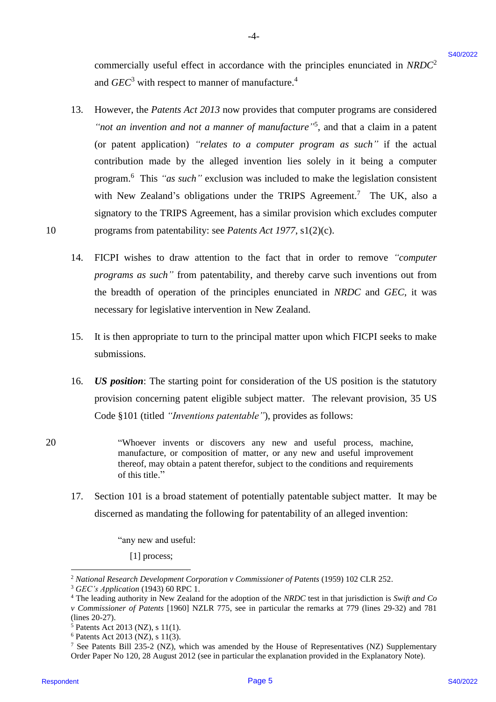commercially useful effect in accordance with the principles enunciated in NRDC<sup>2</sup> and *GEC*<sup>3</sup> with respect to manner of manufacture.<sup>4</sup>

-4- -4-

- 13. However, the *Patents Act 2013* now provides that computer programs are considered However, the Patents Act 2013 now provides that computer programs are considered "not an *invention and not a manner of manufacture*"<sup>5</sup>, and that a claim in a patent (or patent application) *"relates to a computer program as such"* if the actual (or patent application) "relates to <sup>a</sup> computer program as such" if the actual contribution made by the alleged invention lies solely in it being a computer contribution made by the alleged invention lies solely in it being a computer program.<sup>6</sup> This "as such" exclusion was included to make the legislation consistent with New Zealand's obligations under the TRIPS Agreement. <sup>7</sup> The UK, also a with New Zealand's obligations under the TRIPS Agreement.' The UK, also <sup>a</sup> signatory to the TRIPS Agreement, has a similar provision which excludes computer signatory to the TRIPS Agreement, has a similar provision which excludes computer 10 programs from patentability: see *Patents Act 1977*, s1(2)(c). programs from patentability: see Patents Act 1977, s1(2)(c). conumecially useful effect in accordance with the principles conteined at *NRDC*<br>
and  $G/C^4$  with respect to manner of meantlement.<sup>1</sup><br>
Theorem, the Potents Ad 2024 coe provides that except meantless that the chain is a 13.
	- 14. FICPI wishes to draw attention to the fact that in order to remove *"computer* FICPI wishes to draw attention to the fact that in order to remove "computer*programs as such"* from patentability, and thereby carve such inventions out from programs as such" from patentability, and thereby carve such inventions out from the breadth of operation of the principles enunciated in *NRDC* and *GEC*, it was necessary for legislative intervention in New Zealand. necessary for legislative intervention in New Zealand. 14.
	- 15. It is then appropriate to turn to the principal matter upon which FICPI seeks to make submissions. submissions. 15.
	- 16. *US position*: The starting point for consideration of the US position is the statutory provision concerning patent eligible subject matter. The relevant provision, 35 US provision concerning patent eligible subject matter. The relevant provision, 35 US Code §101 (titled *"Inventions patentable"*), provides as follows: Code §101 (titled "/nventions patentable''), provides as follows: 16.
- 20 "Whoever invents or discovers any new and useful process, machine, "Whoever invents or discovers any new and useful process, machine, manufacture, or composition of matter, or any new and useful improvement thereof, may obtain a patent therefor, subject to the conditions and requirements thereof, may obtain a patent therefor, subject to the conditions and requirements of this title." 20
	- 17. Section 101 is a broad statement of potentially patentable subject matter. It may be Section 101 is <sup>a</sup> broad statement of potentially patentable subject matter. It may be discerned as mandating the following for patentability of an alleged invention: discerned as mandating the following for patentability of an alleged invention: 17.

"any new and useful: "any new and useful:

[1] process; [1] process;

<sup>&</sup>lt;sup>2</sup> National Research Development Corporation v Commissioner of Patents (1959) 102 CLR 252.

<sup>3</sup> *GEC's Application* (1943) 60 RPC 1. 3 GEC's Application (1943) 60 RPC 1.

 $4$  The leading authority in New Zealand for the adoption of the NRDC test in that jurisdiction is Swift and Co *v Commissioner of Patents* [1960] NZLR 775, see in particular the remarks at 779 (lines 29-32) and 781 v Commissioner of Patents [1960] NZLR 775, see in particular the remarks at 779 (lines 29-32) and <sup>781</sup>

<sup>(</sup>lines 20-27). (lines 20-27).

<sup>5</sup> Patents Act 2013 (NZ), s 11(1). >Patents Act 2013 (NZ), s 11(1).

 $6$  Patents Act 2013 (NZ), s 11(3).

<sup>&</sup>lt;sup>7</sup> See Patents Bill 235-2 (NZ), which was amended by the House of Representatives (NZ) Supplementary Order Paper No 120, 28 August 2012 (see in particular the explanation provided in the Explanatory Note). Order Paper No 120, 28 August 2012 (see in particular the explanation provided in the Explanatory Note).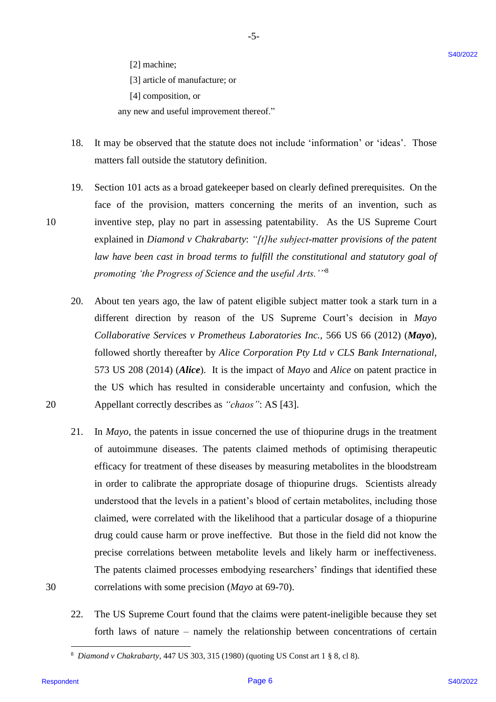[2] machine; [2] machine;

[3] article of manufacture; or [3] article of manufacture; or

[4] composition, or [4] composition, or

any new and useful improvement thereof." any new and useful improvement thereof."

- 18. It may be observed that the statute does not include 'information' or 'ideas'. Those matters fall outside the statutory definition. matters fall outside the statutory definition. 18.
- 19. Section 101 acts as a broad gatekeeper based on clearly defined prerequisites. On the Section 101 acts as <sup>a</sup> broad gatekeeper based on clearly defined prerequisites. On the face of the provision, matters concerning the merits of an invention, such as face of the provision, matters concerning the merits of an invention, such as 10 inventive step, play no part in assessing patentability. As the US Supreme Court inventive step, play no part in assessing patentability. As the US Supreme Court explained in *Diamond v Chakrabarty*: *"[t]he subject-matter provisions of the patent*  explained in Diamond v Chakrabarty: "[t]he subject-matter provisions of the patent law have been cast in broad terms to fulfill the constitutional and statutory goal of promoting 'the Progress of Science and the useful Arts.''<sup>8</sup> 19.
- 20. About ten years ago, the law of patent eligible subject matter took a stark turn in a About ten years ago, the law of patent eligible subject matter took <sup>a</sup> stark turn in a different direction by reason of the US Supreme Court's decision in *Mayo*  different direction by reason of the US Supreme Court's decision in Mayo *Collaborative Services v Prometheus Laboratories Inc.,* 566 US 66 (2012) (*Mayo*), Collaborative Services v Prometheus Laboratories Inc., 566 US 66 (2012) (Mayo), followed shortly thereafter by *Alice Corporation Pty Ltd v CLS Bank International,* followed shortly thereafter by Alice Corporation Pty Ltd v CLS Bank International, 573 US 208 (2014) (*Alice*). It is the impact of *Mayo* and *Alice* on patent practice in 573 US 208 (2014) (Alice). It is the impact of Mayo and Alice on patent practice in the US which has resulted in considerable uncertainty and confusion, which the 20 Appellant correctly describes as *"chaos"*: AS [43]. Appellant correctly describes as "chaos": AS [43]. 20.
- 21. In *Mayo*, the patents in issue concerned the use of thiopurine drugs in the treatment In Mayo, the patents in issue concerned the use of thiopurine drugs in the treatment of autoimmune diseases. The patents claimed methods of optimising therapeutic of autoimmune diseases. The patents claimed methods of optimising therapeutic efficacy for treatment of these diseases by measuring metabolites in the bloodstream in order to calibrate the appropriate dosage of thiopurine drugs. Scientists already in order to calibrate the appropriate dosage of thiopurine drugs. Scientists already understood that the levels in a patient's blood of certain metabolites, including those understood that the levels in <sup>a</sup> patient's blood of certain metabolites, including those claimed, were correlated with the likelihood that a particular dosage of a thiopurine claimed, were correlated with the likelihood that <sup>a</sup> particular dosage of <sup>a</sup> thiopurine drug could cause harm or prove ineffective. But those in the field did not know the drug could cause harm or prove ineffective. But those in the field did not know the precise correlations between metabolite levels and likely harm or ineffectiveness. precise correlations between metabolite levels and likely harm or ineffectiveness. The patents claimed processes embodying researchers' findings that identified these The patents claimed processes embodying researchers' findings that identified these 30 correlations with some precision (*Mayo* at 69-70). correlations with some precision (Mayo at 69-70). [2] anchies;<br>
[3] aleks of manulacume or<br>
[3] action (in anomalocume or  $\pi$ ) aleks of manulacume or<br> **EVALUATION** and the statistic dispersion of include "information" or "videas". Those<br>
neutrica full consider the stati 21.
	- 22. The US Supreme Court found that the claims were patent-ineligible because they set The US Supreme Court found that the claims were patent-ineligible because they set forth laws of nature – namely the relationship between concentrations of certain 22.

30

10

<sup>8</sup> *Diamond v Chakrabarty*, 447 US 303, 315 (1980) (quoting US Const art 1 § 8, cl 8). 8 Diamond v Chakrabarty, 447 US 303, 315 (1980) (quoting US Const art 1 § 8, cl 8).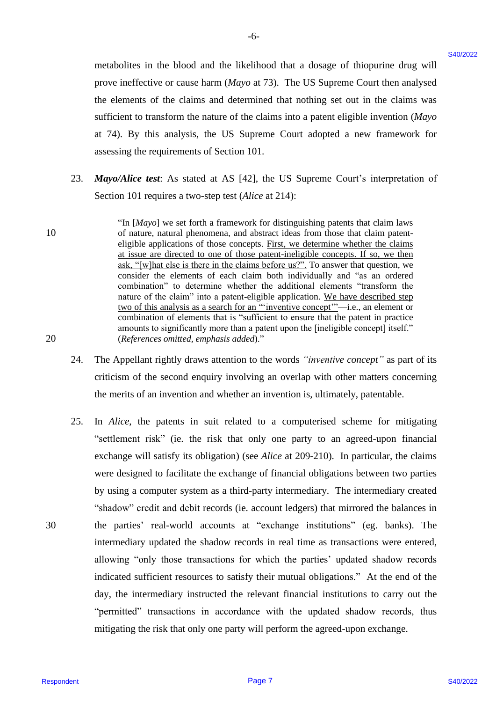metabolites in the blood and the likelihood that a dosage of thiopurine drug will metabolites in the blood andthe likelihood that <sup>a</sup> dosage of thiopurine drug will prove ineffective or cause harm (*Mayo* at 73). The US Supreme Court then analysed prove ineffective or cause harm (Mayo at 73). The US Supreme Court then analysed the elements of the claims and determined that nothing set out in the claims was the elements of the claims and determined that nothing set out in the claims was sufficient to transform the nature of the claims into a patent eligible invention (*Mayo* sufficient to transform the nature of the claims into a patent eligible invention (Mayo at 74). By this analysis, the US Supreme Court adopted a new framework for at 74). By this analysis, the US Supreme Court adopted <sup>a</sup> new framework for assessing the requirements of Section 101.

-6- -6-

- 23. Mayo/Alice test: As stated at AS [42], the US Supreme Court's interpretation of Section 101 requires a two-step test (*Alice* at 214): Section 101 requires a two-step test (Alice at 214): 23.
- "In [*Mayo*] we set forth a framework for distinguishing patents that claim laws "In [Mayo] we set forth a framework for distinguishing patents that claim laws 10 of nature, natural phenomena, and abstract ideas from those that claim patenteligible applications of those concepts. First, we determine whether the claims at issue are directed to one of those patent-ineligible concepts. If so, we then at issue are directed to one of those patent-ineligible concepts. If so, we then ask, "[w]hat else is there in the claims before us?". To answer that question, we consider the elements of each claim both individually and "as an ordered consider the elements of each claim both individually and "as an ordered combination" to determine whether the additional elements "transform the combination" to determine whether the additional elements "transform the nature of the claim" into a patent-eligible application. We have described step two of this analysis as a search for an "'inventive concept'"—i.e., an element or combination of elements that is "sufficient to ensure that the patent in practice amounts to significantly more than a patent upon the [ineligible concept] itself." amounts to significantly more than a patent upon the [ineligible concept] itself." 20 (*References omitted, emphasis added*)." (References omitted, emphasis added)."
	- 24. The Appellant rightly draws attention to the words *"inventive concept"* as part of its The Appellant rightly draws attention to the words "inventive concept" as part of its criticism of the second enquiry involving an overlap with other matters concerning criticism of the second enquiry involving an overlap with other matters concerning the merits of an invention and whether an invention is, ultimately, patentable. the merits of an invention and whether an invention is, ultimately, patentable. 24.
- 25. In *Alice*, the patents in suit related to a computerised scheme for mitigating In Alice, the patents in suit related to <sup>a</sup> computerised scheme for mitigating "settlement risk" (ie. the risk that only one party to an agreed-upon financial "settlement risk" (ie. the risk that only one party to an agreed-upon financial exchange will satisfy its obligation) (see *Alice* at 209-210). In particular, the claims exchange will satisfy its obligation) (see Alice at 209-210). In particular, the claims were designed to facilitate the exchange of financial obligations between two parties were designed to facilitate the exchange of financial obligations between two parties by using a computer system as a third-party intermediary. The intermediary created by using <sup>a</sup> computer system as <sup>a</sup> third-party intermediary. The intermediary created "shadow" credit and debit records (ie. account ledgers) that mirrored the balances in "shadow" credit and debit records (ie. account ledgers) that mirrored the balances in 30 the parties' real-world accounts at "exchange institutions" (eg. banks). The the parties' real-world accounts at "exchange institutions" (eg. banks). The intermediary updated the shadow records in real time as transactions were entered, intermediary updated the shadow records in real time as transactions were entered, allowing "only those transactions for which the parties' updated shadow records allowing "only those transactions for which the parties' updated shadow records indicated sufficient resources to satisfy their mutual obligations." At the end of the indicated sufficient resources to satisfy their mutual obligations." At the end of the day, the intermediary instructed the relevant financial institutions to carry out the day, the intermediary instructed the relevant financial institutions to carry out the "permitted" transactions in accordance with the updated shadow records, thus "permitted" transactions in accordance with the updated shadow records, thus mitigating the risk that only one party will perform the agreed-upon exchange. mitigating the risk that only one party will perform the agreed-upon exchange. metabolities in the blood and the likelihood that a dosage of thiopatine drag will<br>prove terminestries or concess that in the sign system. Can then analysed the channel of the chains and determined that nothing set out in 25.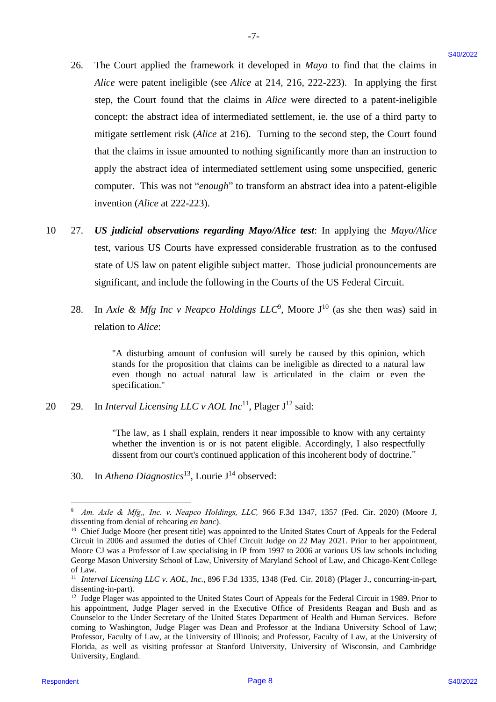26. The Court applied the framework it developed in *Mayo* to find that the claims in 26. The Court applied the framework it developed in Mayo to find that the claims in *Alice* were patent ineligible (see *Alice* at 214, 216, 222-223). In applying the first Alice were patent ineligible (see Alice at 214, 216, 222-223). In applying the first step, the Court found that the claims in *Alice* were directed to a patent-ineligible step, the Court found that the claims in Alice were directed to <sup>a</sup> patent-ineligible concept: the abstract idea of intermediated settlement, ie. the use of a third party to mitigate settlement risk (*Alice* at 216). Turning to the second step, the Court found mitigate settlement risk (Alice at 216). Turning to the second step, the Court found that the claims in issue amounted to nothing significantly more than an instruction to that the claims in issue amounted to nothing significantly more than an instruction to apply the abstract idea of intermediated settlement using some unspecified, generic apply the abstract idea of intermediated settlement using some unspecified, generic computer. This was not "*enough*" to transform an abstract idea into a patent-eligible computer. This was not "enough" to transform an abstract idea into <sup>a</sup> patent-eligible invention (*Alice* at 222-223). invention (Alice at 222-223). 26. The Court applied the framework it developed in Mayo to find that the claims in<br>
After we mean intelligible (see Micro at 244, 2022 2223), In applying the Historical page 81<br>
energy the Solution of Micro and 24. (b) 1

-7- -7-

- 10 27. *US judicial observations regarding Mayo/Alice test*: In applying the *Mayo/Alice* 10 27. US judicial observations regarding Mayo/Alice test: In applying the Mayo/Alice test, various US Courts have expressed considerable frustration as to the confused state of US law on patent eligible subject matter. Those judicial pronouncements are state of US law on patent eligible subject matter. Those judicial pronouncements are significant, and include the following in the Courts of the US Federal Circuit. significant, and include the following in the Courts of the US Federal Circuit.
	- 28. In *Axle & Mfg Inc v Neapco Holdings*  $LLC^9$ *, Moore J<sup>10</sup> (as she then was) said in* relation to *Alice*: relation to Alice:

"A disturbing amount of confusion will surely be caused by this opinion, which "A disturbing amount of confusion will surely be caused by this opinion, which stands for the proposition that claims can be ineligible as directed to a natural law stands for the proposition that claims can be ineligible as directed to anatural law even though no actual natural law is articulated in the claim or even the specification." specification."

20 29. In *Interval Licensing LLC v AOL Inc*<sup>11</sup>, Plager J<sup>12</sup> said:

"The law, as I shall explain, renders it near impossible to know with any certainty "The law, as I shall explain, renders it near impossible to know with any certainty whether the invention is or is not patent eligible. Accordingly, I also respectfully whether the invention is or is not patent eligible. Accordingly, I also respectfully dissent from our court's continued application of this incoherent body of doctrine." dissent from our court's continued application of this incoherent body of doctrine."

30. In *Athena Diagnostics*<sup>13</sup>, Lourie J<sup>14</sup> observed:

<sup>9</sup> *Am. Axle & Mfg" Inc. v. Neapco Holdings, LLC,* 966 F.3d 1347, 1357 (Fed. Cir. 2020) (Moore J, Am. Axle & Mfg,, Inc. v. Neapco Holdings, LLC, 966 F.3d 1347, 1357 (Fed. Cir. 2020) (Moore J, dissenting from denial of rehearing *en banc*). dissenting from denial ofrehearing en banc).

<sup>&</sup>lt;sup>10</sup> Chief Judge Moore (her present title) was appointed to the United States Court of Appeals for the Federal Circuit in 2006 and assumed the duties of Chief Circuit Judge on 22 May 2021. Prior to her appointment, Circuit in 2006 and assumed the duties of Chief Circuit Judge on 22 May 2021. Prior to her appointment, Moore CJ was a Professor of Law specialising in IP from 1997 to 2006 at various US law schools including Moore CJ was a Professor of Law specialising in IP from 1997 to 2006 at various US law schools including George Mason University School of Law, University of Maryland School of Law, and Chicago-Kent College George Mason University School of Law, University of Maryland School of Law, and Chicago-Kent College of Law. of Law.

<sup>&</sup>lt;sup>11</sup> Interval Licensing LLC v. AOL, Inc., 896 F.3d 1335, 1348 (Fed. Cir. 2018) (Plager J., concurring-in-part, dissenting-in-part). dissenting-in-part).

 $12$  Judge Plager was appointed to the United States Court of Appeals for the Federal Circuit in 1989. Prior to his appointment, Judge Plager served in the Executive Office of Presidents Reagan and Bush and as his appointment, Judge Plager served in the Executive Office of Presidents Reagan and Bush and as Counselor to the Under Secretary of the United States Department of Health and Human Services. Before Counselor to the Under Secretary of the United States Department of Health and Human Services. Before coming to Washington, Judge Plager was Dean and Professor at the Indiana University School of Law; coming to Washington, Judge Plager was Dean and Professor at the Indiana University School of Law; Professor, Faculty of Law, at the University of Illinois; and Professor, Faculty of Law, at the University of Florida, as well as visiting professor at Stanford University, University of Wisconsin, and Cambridge Florida, as well as visiting professor at Stanford University, University of Wisconsin, and Cambridge University, England. University, England.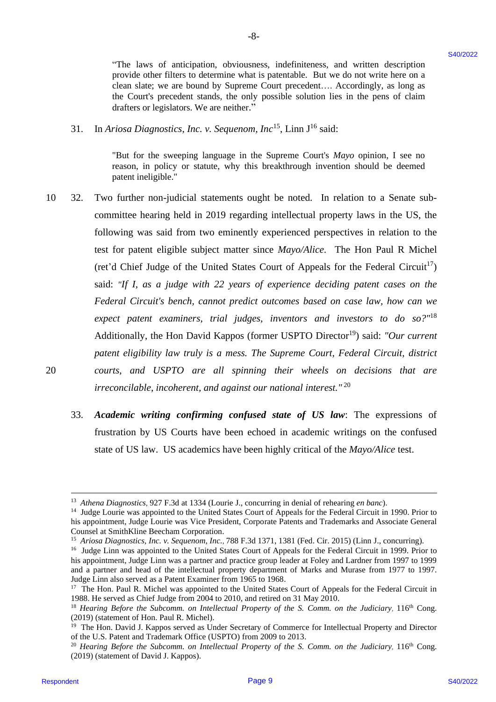"The laws of anticipation, obviousness, indefiniteness, and written description provide other filters to determine what is patentable. But we do not write here on a provide other filters to determine what is patentable. But we do not write here on a clean slate; we are bound by Supreme Court precedent…. Accordingly, as long as clean slate; we are bound by Supreme Court precedent.... Accordingly, as long as the Court's precedent stands, the only possible solution lies in the pens of claim the Court's precedent stands, the only possible solution lies in the pens of claimdrafters or legislators. We are neither." drafters or legislators. We are neither."

-8- -8-

31. In *Ariosa Diagnostics, Inc. v. Sequenom, Inc*<sup>15</sup>, Linn J<sup>16</sup> said:

"But for the sweeping language in the Supreme Court's *Mayo* opinion, I see no "But for the sweeping language in the Supreme Court's Mayo opinion, I see no reason, in policy or statute, why this breakthrough invention should be deemed patent ineligible." patent ineligible."

- 10 32. Two further non-judicial statements ought be noted. In relation to a Senate sub-10 32. Two further non-judicial statements ought be noted. In relation to <sup>a</sup> Senate subcommittee hearing held in 2019 regarding intellectual property laws in the US, the committee hearing held in 2019 regarding intellectual property laws in the US, the following was said from two eminently experienced perspectives in relation to the test for patent eligible subject matter since Mayo/Alice. The Hon Paul R Michel (ret'd Chief Judge of the United States Court of Appeals for the Federal Circuit<sup>17</sup>) said: *"If I, as a judge with 22 years of experience deciding patent cases on the* said: "If I, as a judge with 22 years of experience deciding patent cases on the *Federal Circuit's bench, cannot predict outcomes based on case law, how can we*  Federal Circuit's bench, cannot predict outcomes based on case law, how can we expect patent examiners, trial judges, inventors and investors to do so?"<sup>18</sup> Additionally, the Hon David Kappos (former USPTO Director<sup>19</sup>) said: "Our current *patent eligibility law truly is a mess. The Supreme Court, Federal Circuit, district* patent eligibility law truly is a mess. The Supreme Court, Federal Circuit, district 20 *courts, and USPTO are all spinning their wheels on decisions that are*  20 courts, and USPTO are all spinning their wheels on decisions that are *irreconcilable, incoherent, and against our national interest."* <sup>20</sup> irreconcilable, incoherent, and against our national interest." <sup>20</sup> The last of antiality the bosonic interlulent and within the controller of the set of the set of the set of the set of the set of the set of the set of the set of the set of the set of the set of the set of the set of the
	- 33. *Academic writing confirming confused state of US law*: The expressions of 33. Academic writing confirming confused state of US law: The expressions of frustration by US Courts have been echoed in academic writings on the confused frustration by US Courts have been echoed in academic writings on the confused state of US law. US academics have been highly critical of the *Mayo/Alice* test. state of US law. US academics have been highly critical of the Mayo/Alice test.

<sup>13</sup> *Athena Diagnostics,* 927 F.3d at 1334 (Lourie J., concurring in denial of rehearing *en banc*). 3° Athena Diagnostics, 927 F.3d at 1334 (Lourie J., concurring in denial of rehearing en banc).

<sup>&</sup>lt;sup>14</sup> Judge Lourie was appointed to the United States Court of Appeals for the Federal Circuit in 1990. Prior to his appointment, Judge Lourie was Vice President, Corporate Patents and Trademarks and Associate General his appointment, Judge Lourie was Vice President, Corporate Patents and Trademarks and Associate General Counsel at SmithKline Beecham Corporation. Counsel at SmithKline Beecham Corporation.

<sup>&</sup>lt;sup>15</sup> Ariosa Diagnostics, Inc. v. Sequenom, Inc., 788 F.3d 1371, 1381 (Fed. Cir. 2015) (Linn J., concurring).

<sup>&</sup>lt;sup>16</sup> Judge Linn was appointed to the United States Court of Appeals for the Federal Circuit in 1999. Prior to his appointment, Judge Linn was a partner and practice group leader at Foley and Lardner from 1997 to 1999 and a partner and head of the intellectual property department of Marks and Murase from 1977 to 1997. and a partner and head of the intellectual property department of Marks and Murase from 1977 to 1997. Judge Linn also served as a Patent Examiner from 1965 to 1968. Judge Linn also served as a Patent Examiner from 1965 to 1968.

<sup>&</sup>lt;sup>17</sup> The Hon. Paul R. Michel was appointed to the United States Court of Appeals for the Federal Circuit in 1988. He served as Chief Judge from 2004 to 2010, and retired on 31 May 2010.

<sup>&</sup>lt;sup>18</sup> Hearing Before the Subcomm. on Intellectual Property of the S. Comm. on the Judiciary, 116<sup>th</sup> Cong. (2019) (statement of Hon. Paul R. Michel). (2019) (statement of Hon. Paul R. Michel).

<sup>&</sup>lt;sup>19</sup> The Hon. David J. Kappos served as Under Secretary of Commerce for Intellectual Property and Director of the U.S. Patent and Trademark Office (USPTO) from 2009 to 2013. of the U.S. Patent and Trademark Office (USPTO) from 2009 to 2013.

<sup>&</sup>lt;sup>20</sup> Hearing Before the Subcomm. on Intellectual Property of the S. Comm. on the Judiciary, 116<sup>th</sup> Cong. (2019) (statement of David J. Kappos). (2019) (statement of David J. Kappos).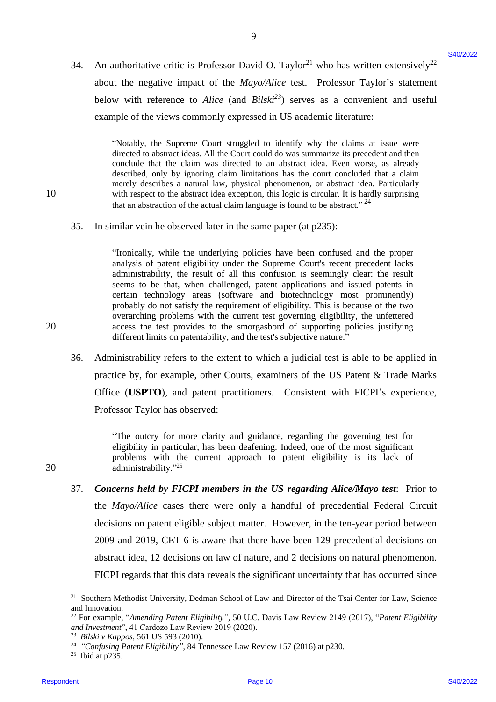34. An authoritative critic is Professor David O. Taylor<sup>21</sup> who has written extensively<sup>22</sup> about the negative impact of the *Mayo/Alice* test. Professor Taylor's statement about the negative impact of the Mayo/Alice test. Professor Taylor's statement below with reference to *Alice* (and  $Bilski<sup>23</sup>$ ) serves as a convenient and useful example of the views commonly expressed in US academic literature: example of the views commonly expressed in US academic literature:

-9- -9-

"Notably, the Supreme Court struggled to identify why the claims at issue were "Notably, the Supreme Court struggled to identify why the claims at issue were directed to abstract ideas. All the Court could do was summarize its precedent and then directed to abstract ideas. All the Court could do was summarize its precedent and then conclude that the claim was directed to an abstract idea. Even worse, as already conclude that the claim was directed to an abstract idea. Even worse, as already described, only by ignoring claim limitations has the court concluded that a claim described, only by ignoring claim limitations has the court concluded that a claim merely describes a natural law, physical phenomenon, or abstract idea. Particularly merely describes a natural law, physical phenomenon, or abstract idea. Particularly 10 with respect to the abstract idea exception, this logic is circular. It is hardly surprising with respect to the abstract idea exception, this logic is circular. It is hardly surprising that an abstraction of the actual claim language is found to be abstract."  $^{24}$ 

35. In similar vein he observed later in the same paper (at p235): 35. In similar vein he observed later in the same paper (atp235):

"Ironically, while the underlying policies have been confused and the proper "Tronically, while the underlying policies have been confused and the proper analysis of patent eligibility under the Supreme Court's recent precedent lacks analysis of patent eligibility under the Supreme Court's recent precedent lacks administrability, the result of all this confusion is seemingly clear: the result administrability, the result of all this confusion is seemingly clear: the result seems to be that, when challenged, patent applications and issued patents in certain technology areas (software and biotechnology most prominently) certain technology areas (software and biotechnology most prominently)probably do not satisfy the requirement of eligibility. This is because of the two probably do not satisfy the requirement of eligibility. This is because of the two overarching problems with the current test governing eligibility, the unfettered overarching problems with the current test governing eligibility, the unfettered 20 access the test provides to the smorgasbord of supporting policies justifying access the test provides to the smorgasbord of supporting policies justifying different limits on patentability, and the test's subjective nature." different limits on patentability, and the test's subjective nature."

36. Administrability refers to the extent to which a judicial test is able to be applied in Administrability refers to the extent to whichajudicial test is able to be applied in practice by, for example, other Courts, examiners of the US Patent & Trade Marks practice by, for example, other Courts, examiners of the US Patent & Trade Marks Office (**USPTO**), and patent practitioners. Consistent with FICPI's experience, Office (USPTO), and patent practitioners. Consistent with FICPI's experience, Professor Taylor has observed: Professor Taylor has observed: 36.

"The outcry for more clarity and guidance, regarding the governing test for "The outcry for more clarity and guidance, regarding the governing test for eligibility in particular, has been deafening. Indeed, one of the most significant problems with the current approach to patent eligibility is its lack of problems with the current approach to patent eligibility is its lack of 30 administrability."<sup>25</sup>

37. *Concerns held by FICPI members in the US regarding Alice/Mayo test*: Prior to Concerns held by FICPI members in the US regarding Alice/Mayo test: Prior to the *Mayo/Alice* cases there were only a handful of precedential Federal Circuit the Mayo/Alice cases there were only <sup>a</sup> handful of precedential Federal Circuit decisions on patent eligible subject matter. However, in the ten-year period between decisions on patent eligible subject matter. However, in the ten-year period between 2009 and 2019, CET 6 is aware that there have been 129 precedential decisions on 2009 and 2019, CET 6 is aware that there have been 129 precedential decisions on abstract idea, 12 decisions on law of nature, and 2 decisions on natural phenomenon. abstract idea, 12 decisions on law of nature, and 2 decisions on natural phenomenon. FICPI regards that this data reveals the significant uncertainty that has occurred since FICPI regards that this data reveals the significant uncertainty that has occurred since 34. An authorisative critic is Professor David O. Taylor<sup>1</sup> who has written extensively<br>
about the tegritors were drift to Moyother ent. Professor Traylor's statement<br>
below with reference to Afree (and *BrbM*<sup>24</sup>) acrees 37.

20

30

<sup>21</sup> Southern Methodist University, Dedman School of Law and Director of the Tsai Center for Law, Science <sup>21</sup> Southern Methodist University, Dedman School of Law and Director of the Tsai Center for Law, Science and Innovation. and Innovation.

<sup>22</sup> For example, "*Amending Patent Eligibility"*, 50 U.C. Davis Law Review 2149 (2017), "*Patent Eligibility and Investment*", 41 Cardozo Law Review 2019 (2020). <sup>22</sup> For example, "Amending Patent Eligibility", 50 U.C. Davis Law Review 2149 (2017), "Patent Eligibility" and Investment", 41 Cardozo Law Review 2019 (2020).

<sup>23</sup> *Bilski v Kappos*, 561 US 593 (2010). 3 Bilski v Kappos, 561 US 593 (2010).

<sup>&</sup>lt;sup>24</sup> "Confusing Patent Eligibility", 84 Tennessee Law Review 157 (2016) at p230.

 $25$  Ibid at p235.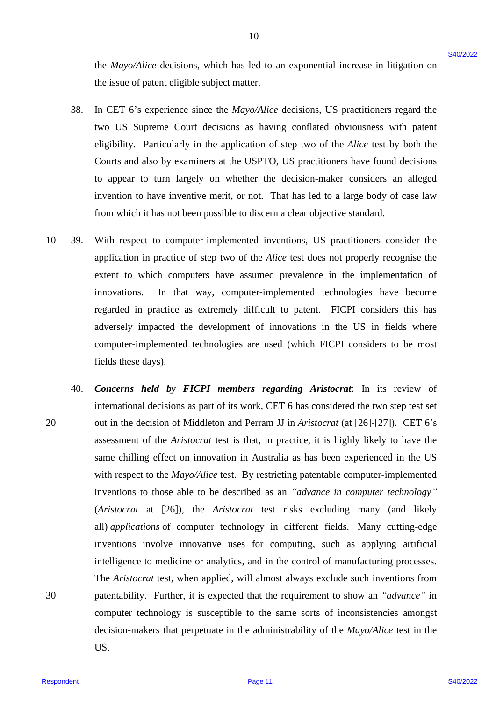the *Mayo/Alice* decisions, which has led to an exponential increase in litigation on the issue of patent eligible subject matter. the issue of patent eligible subject matter.

-10- -10-

- 38. In CET 6's experience since the *Mayo/Alice* decisions, US practitioners regard the In CET 6's experience since the Mayo/Alice decisions, US practitioners regard the two US Supreme Court decisions as having conflated obviousness with patent two US Supreme Court decisions as having conflated obviousness with patent eligibility. Particularly in the application of step two of the *Alice* test by both the Courts and also by examiners at the USPTO, US practitioners have found decisions Courts and also by examiners at the USPTO, US practitioners have found decisions to appear to turn largely on whether the decision-maker considers an alleged to appear to turn largely on whether the decision-maker considers an alleged invention to have inventive merit, or not. That has led to a large body of case law invention to have inventive merit, or not. That has led to a large body of case law from which it has not been possible to discern a clear objective standard. from which it has not been possible to discern <sup>a</sup> clear objective standard. 38.
- 10 39. With respect to computer-implemented inventions, US practitioners consider the With respect to computer-implemented inventions, US practitioners consider the application in practice of step two of the *Alice* test does not properly recognise the extent to which computers have assumed prevalence in the implementation of extent to which computers have assumed prevalence in the implementation of innovations. In that way, computer-implemented technologies have become innovations. In that way, computer-implemented technologies have become regarded in practice as extremely difficult to patent. FICPI considers this has regarded in practice as extremely difficult to patent. FICPI considers this has adversely impacted the development of innovations in the US in fields where adversely impacted the development of innovations in the US in fields where computer-implemented technologies are used (which FICPI considers to be most computer-implemented technologies are used (which FICPI considers to be most fields these days). fields these days). 10-39.
- 40. *Concerns held by FICPI members regarding Aristocrat*: In its review of 40. Concerns held by FICPI members regarding Aristocrat: In its review of international decisions as part of its work, CET 6 has considered the two step test set international decisions as part of its work, CET 6 has considered the two step test set 20 out in the decision of Middleton and Perram JJ in *Aristocrat* (at [26]-[27]). CET 6's assessment of the *Aristocrat* test is that, in practice, it is highly likely to have the assessment of the Aristocrat test is that, in practice, it is highly likely to have the same chilling effect on innovation in Australia as has been experienced in the US same chilling effect on innovation in Australia as has been experienced in the US with respect to the *Mayo/Alice* test. By restricting patentable computer-implemented with respect to the Mayo/Alice test. By restricting patentable computer-implemented inventions to those able to be described as an *"advance in computer technology"* inventions to those able to be described as an "advance in computer technology" (*Aristocrat* at [26]), the *Aristocrat* test risks excluding many (and likely (Aristocrat at [26]), the Aristocrat test risks excluding many (and likely all) *applications* of computer technology in different fields. Many cutting-edge all) applications of computer technology in different fields. Many cutting-edge inventions involve innovative uses for computing, such as applying artificial inventions involve innovative uses for computing, such as applying artificial intelligence to medicine or analytics, and in the control of manufacturing processes. The *Aristocrat* test, when applied, will almost always exclude such inventions from The Aristocrat test, when applied, will almost always exclude such inventions from 30 patentability. Further, it is expected that the requirement to show an *"advance"* in patentability. Further, it is expectedthat the requirement to show an "advance" in computer technology is susceptible to the same sorts of inconsistencies amongst decision-makers that perpetuate in the administrability of the *Mayo/Alice* test in the decision-makers that perpetuate in the administrability of the Mayo/Alice test in the US. US. the MoywAthre decisions, which has led to an exponential increase in Istigation on<br>
the issue of purer steps the material continue of the experimental increase in the control of the CF of S-sepectron of the absolute condi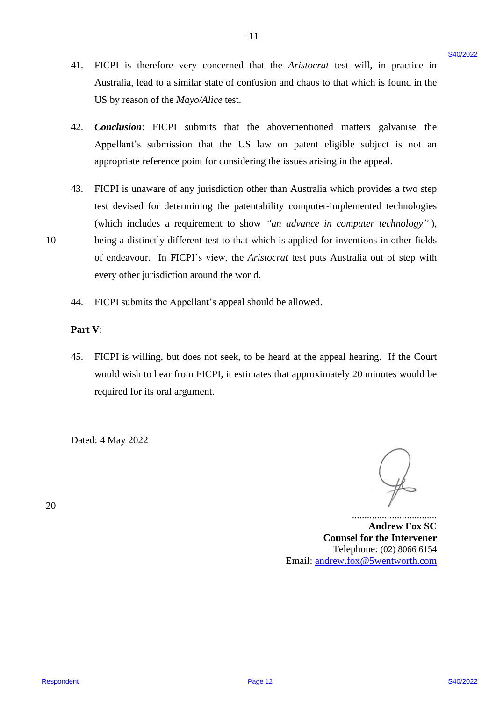41. FICPI is therefore very concerned that the *Aristocrat* test will, in practice in FICPI is therefore very concerned that the Aristocrat test will, in practice in Australia, lead to a similar state of confusion and chaos to that which is found in the Australia, lead to a similar state of confusion and chaos to that which is found in the US by reason of the *Mayo/Alice* test. US by reason of the Mayo/Alice test. 41.

 $-11-$ 

- 42. *Conclusion*: FICPI submits that the abovementioned matters galvanise the Conclusion: FICPI submits that the abovementioned matters galvanise the Appellant's submission that the US law on patent eligible subject is not an Appellant's submission that the US law on patent eligible subject is not an appropriate reference point for considering the issues arising in the appeal. appropriate reference point for considering the issues arising in the appeal. 42.
- 43. FICPI is unaware of any jurisdiction other than Australia which provides a two step FICPI is unaware of any jurisdiction other than Australia which provides <sup>a</sup> two step test devised for determining the patentability computer-implemented technologies test devised for determining the patentability computer-implemented technologies (which includes a requirement to show *"an advance in computer technology"* ), (which includes a requirement to show "an advance in computer technology" ), 10 being a distinctly different test to that which is applied for inventions in other fields of endeavour. In FICPI's view, the *Aristocrat* test puts Australia out of step with every other jurisdiction around the world. every other jurisdiction around the world. 41. FICPI is therefore very concerned that the Aristopart test will, in practice in Aristopart (set with the formula of the Hermannic US by reason of the Moyel interest and then to the help is the state of containing the 43.
	- 44. FICPI submits the Appellant's appeal should be allowed. FICPI submits the Appellant's appeal should be allowed. 44,

#### **Part V**: Part V:

45. FICPI is willing, but does not seek, to be heard at the appeal hearing. If the Court 45. FICPI is willing, but does not seek, to be heard at the appeal hearing. If the Court would wish to hear from FICPI, it estimates that approximately 20 minutes would be required for its oral argument. required for its oral argument.

Dated: 4 May 2022 Dated: 4 May 2022

20 20

.................................. **Andrew Fox SC** Andrew Fox SC **Counsel for the Intervener** Counsel for the Intervener Telephone: (02) 8066 6154 Telephone: (02) 8066 6154 Email: [andrew.fox@5wentworth.com](mailto:andrew.fox@5wentworth.com) Email: andrew.fox@5wentworth.com